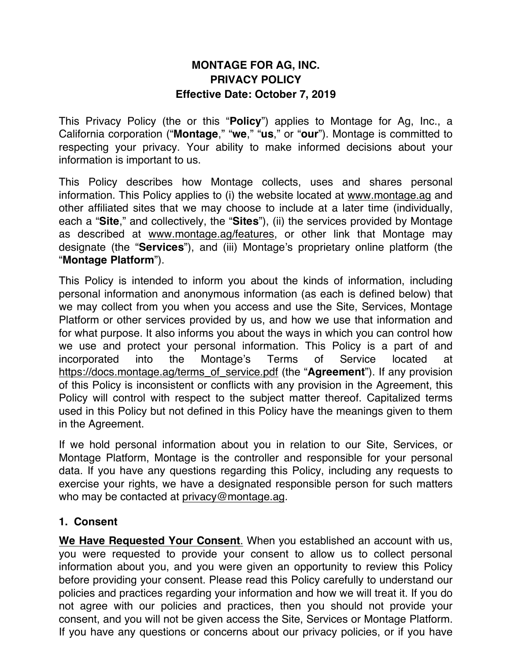# **MONTAGE FOR AG, INC. PRIVACY POLICY Effective Date: October 7, 2019**

This Privacy Policy (the or this "**Policy**") applies to Montage for Ag, Inc., a California corporation ("**Montage**," "**we**," "**us**," or "**our**"). Montage is committed to respecting your privacy. Your ability to make informed decisions about your information is important to us.

This Policy describes how Montage collects, uses and shares personal information. This Policy applies to (i) the website located at www.montage.ag and other affiliated sites that we may choose to include at a later time (individually, each a "**Site**," and collectively, the "**Sites**"), (ii) the services provided by Montage as described at www.montage.ag/features, or other link that Montage may designate (the "**Services**"), and (iii) Montage's proprietary online platform (the "**Montage Platform**").

This Policy is intended to inform you about the kinds of information, including personal information and anonymous information (as each is defined below) that we may collect from you when you access and use the Site, Services, Montage Platform or other services provided by us, and how we use that information and for what purpose. It also informs you about the ways in which you can control how we use and protect your personal information. This Policy is a part of and incorporated into the Montage's Terms of Service located at https://docs.montage.ag/terms\_of\_service.pdf (the "**Agreement**"). If any provision of this Policy is inconsistent or conflicts with any provision in the Agreement, this Policy will control with respect to the subject matter thereof. Capitalized terms used in this Policy but not defined in this Policy have the meanings given to them in the Agreement.

If we hold personal information about you in relation to our Site, Services, or Montage Platform, Montage is the controller and responsible for your personal data. If you have any questions regarding this Policy, including any requests to exercise your rights, we have a designated responsible person for such matters who may be contacted at privacy@montage.ag.

### **1. Consent**

**We Have Requested Your Consent**. When you established an account with us, you were requested to provide your consent to allow us to collect personal information about you, and you were given an opportunity to review this Policy before providing your consent. Please read this Policy carefully to understand our policies and practices regarding your information and how we will treat it. If you do not agree with our policies and practices, then you should not provide your consent, and you will not be given access the Site, Services or Montage Platform. If you have any questions or concerns about our privacy policies, or if you have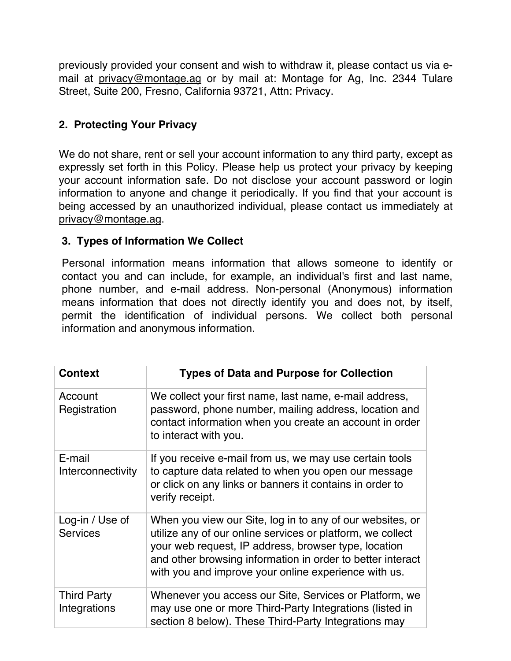previously provided your consent and wish to withdraw it, please contact us via email at privacy@montage.ag or by mail at: Montage for Ag, Inc. 2344 Tulare Street, Suite 200, Fresno, California 93721, Attn: Privacy.

## **2. Protecting Your Privacy**

We do not share, rent or sell your account information to any third party, except as expressly set forth in this Policy. Please help us protect your privacy by keeping your account information safe. Do not disclose your account password or login information to anyone and change it periodically. If you find that your account is being accessed by an unauthorized individual, please contact us immediately at privacy@montage.ag.

### **3. Types of Information We Collect**

Personal information means information that allows someone to identify or contact you and can include, for example, an individual's first and last name, phone number, and e-mail address. Non-personal (Anonymous) information means information that does not directly identify you and does not, by itself, permit the identification of individual persons. We collect both personal information and anonymous information.

| <b>Context</b>                     | <b>Types of Data and Purpose for Collection</b>                                                                                                                                                                                                                                                       |
|------------------------------------|-------------------------------------------------------------------------------------------------------------------------------------------------------------------------------------------------------------------------------------------------------------------------------------------------------|
| Account<br>Registration            | We collect your first name, last name, e-mail address,<br>password, phone number, mailing address, location and<br>contact information when you create an account in order<br>to interact with you.                                                                                                   |
| E-mail<br>Interconnectivity        | If you receive e-mail from us, we may use certain tools<br>to capture data related to when you open our message<br>or click on any links or banners it contains in order to<br>verify receipt.                                                                                                        |
| Log-in / Use of<br><b>Services</b> | When you view our Site, log in to any of our websites, or<br>utilize any of our online services or platform, we collect<br>your web request, IP address, browser type, location<br>and other browsing information in order to better interact<br>with you and improve your online experience with us. |
| <b>Third Party</b><br>Integrations | Whenever you access our Site, Services or Platform, we<br>may use one or more Third-Party Integrations (listed in<br>section 8 below). These Third-Party Integrations may                                                                                                                             |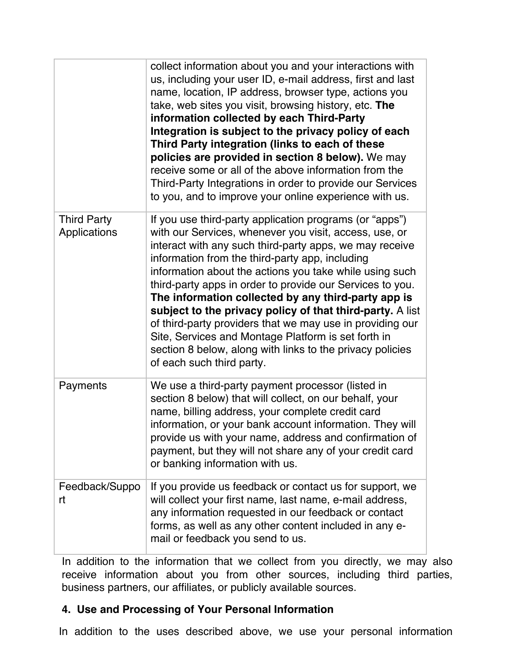|                                    | collect information about you and your interactions with<br>us, including your user ID, e-mail address, first and last<br>name, location, IP address, browser type, actions you<br>take, web sites you visit, browsing history, etc. The<br>information collected by each Third-Party<br>Integration is subject to the privacy policy of each<br>Third Party integration (links to each of these<br>policies are provided in section 8 below). We may<br>receive some or all of the above information from the<br>Third-Party Integrations in order to provide our Services<br>to you, and to improve your online experience with us.                                                     |
|------------------------------------|-------------------------------------------------------------------------------------------------------------------------------------------------------------------------------------------------------------------------------------------------------------------------------------------------------------------------------------------------------------------------------------------------------------------------------------------------------------------------------------------------------------------------------------------------------------------------------------------------------------------------------------------------------------------------------------------|
| <b>Third Party</b><br>Applications | If you use third-party application programs (or "apps")<br>with our Services, whenever you visit, access, use, or<br>interact with any such third-party apps, we may receive<br>information from the third-party app, including<br>information about the actions you take while using such<br>third-party apps in order to provide our Services to you.<br>The information collected by any third-party app is<br>subject to the privacy policy of that third-party. A list<br>of third-party providers that we may use in providing our<br>Site, Services and Montage Platform is set forth in<br>section 8 below, along with links to the privacy policies<br>of each such third party. |
| Payments                           | We use a third-party payment processor (listed in<br>section 8 below) that will collect, on our behalf, your<br>name, billing address, your complete credit card<br>information, or your bank account information. They will<br>provide us with your name, address and confirmation of<br>payment, but they will not share any of your credit card<br>or banking information with us.                                                                                                                                                                                                                                                                                                     |
| Feedback/Suppo<br>rt               | If you provide us feedback or contact us for support, we<br>will collect your first name, last name, e-mail address,<br>any information requested in our feedback or contact<br>forms, as well as any other content included in any e-<br>mail or feedback you send to us.                                                                                                                                                                                                                                                                                                                                                                                                                |

In addition to the information that we collect from you directly, we may also receive information about you from other sources, including third parties, business partners, our affiliates, or publicly available sources.

## **4. Use and Processing of Your Personal Information**

In addition to the uses described above, we use your personal information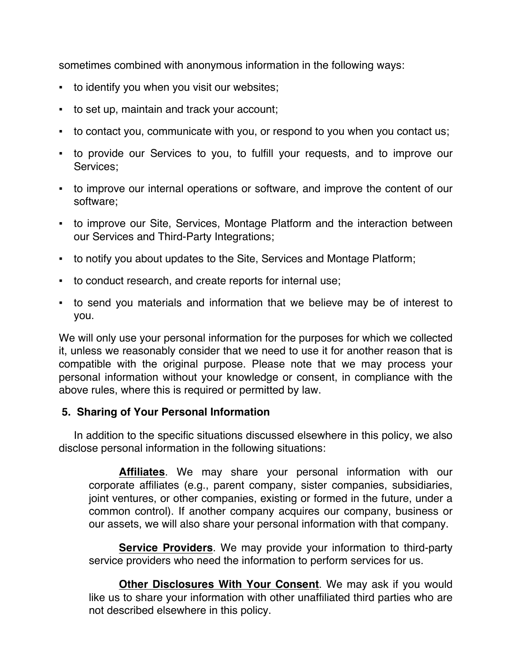sometimes combined with anonymous information in the following ways:

- to identify you when you visit our websites;
- to set up, maintain and track your account;
- to contact you, communicate with you, or respond to you when you contact us;
- to provide our Services to you, to fulfill your requests, and to improve our Services;
- to improve our internal operations or software, and improve the content of our software;
- to improve our Site, Services, Montage Platform and the interaction between our Services and Third-Party Integrations;
- to notify you about updates to the Site, Services and Montage Platform;
- to conduct research, and create reports for internal use;
- to send you materials and information that we believe may be of interest to you.

We will only use your personal information for the purposes for which we collected it, unless we reasonably consider that we need to use it for another reason that is compatible with the original purpose. Please note that we may process your personal information without your knowledge or consent, in compliance with the above rules, where this is required or permitted by law.

### **5. Sharing of Your Personal Information**

In addition to the specific situations discussed elsewhere in this policy, we also disclose personal information in the following situations:

**Affiliates**. We may share your personal information with our corporate affiliates (e.g., parent company, sister companies, subsidiaries, joint ventures, or other companies, existing or formed in the future, under a common control). If another company acquires our company, business or our assets, we will also share your personal information with that company.

**Service Providers**. We may provide your information to third-party service providers who need the information to perform services for us.

**Other Disclosures With Your Consent**. We may ask if you would like us to share your information with other unaffiliated third parties who are not described elsewhere in this policy.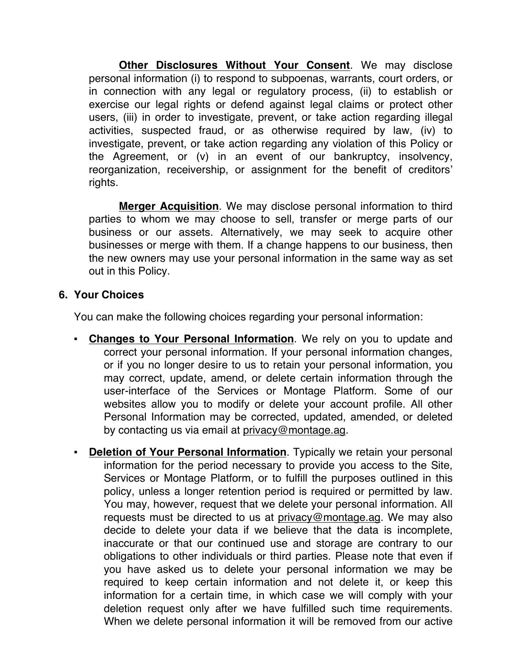**Other Disclosures Without Your Consent**. We may disclose personal information (i) to respond to subpoenas, warrants, court orders, or in connection with any legal or regulatory process, (ii) to establish or exercise our legal rights or defend against legal claims or protect other users, (iii) in order to investigate, prevent, or take action regarding illegal activities, suspected fraud, or as otherwise required by law, (iv) to investigate, prevent, or take action regarding any violation of this Policy or the Agreement, or (v) in an event of our bankruptcy, insolvency, reorganization, receivership, or assignment for the benefit of creditors' rights.

**Merger Acquisition**. We may disclose personal information to third parties to whom we may choose to sell, transfer or merge parts of our business or our assets. Alternatively, we may seek to acquire other businesses or merge with them. If a change happens to our business, then the new owners may use your personal information in the same way as set out in this Policy.

#### **6. Your Choices**

You can make the following choices regarding your personal information:

- **Changes to Your Personal Information**. We rely on you to update and correct your personal information. If your personal information changes, or if you no longer desire to us to retain your personal information, you may correct, update, amend, or delete certain information through the user-interface of the Services or Montage Platform. Some of our websites allow you to modify or delete your account profile. All other Personal Information may be corrected, updated, amended, or deleted by contacting us via email at privacy@montage.ag.
- **Deletion of Your Personal Information**. Typically we retain your personal information for the period necessary to provide you access to the Site, Services or Montage Platform, or to fulfill the purposes outlined in this policy, unless a longer retention period is required or permitted by law. You may, however, request that we delete your personal information. All requests must be directed to us at privacy@montage.ag. We may also decide to delete your data if we believe that the data is incomplete, inaccurate or that our continued use and storage are contrary to our obligations to other individuals or third parties. Please note that even if you have asked us to delete your personal information we may be required to keep certain information and not delete it, or keep this information for a certain time, in which case we will comply with your deletion request only after we have fulfilled such time requirements. When we delete personal information it will be removed from our active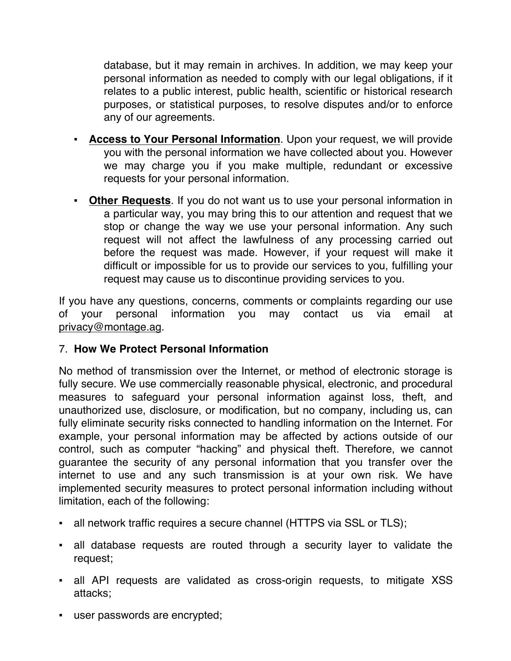database, but it may remain in archives. In addition, we may keep your personal information as needed to comply with our legal obligations, if it relates to a public interest, public health, scientific or historical research purposes, or statistical purposes, to resolve disputes and/or to enforce any of our agreements.

- **Example 2 Figure 1 Access to Your Personal Information**. Upon your request, we will provide you with the personal information we have collected about you. However we may charge you if you make multiple, redundant or excessive requests for your personal information.
- **Other Requests**. If you do not want us to use your personal information in a particular way, you may bring this to our attention and request that we stop or change the way we use your personal information. Any such request will not affect the lawfulness of any processing carried out before the request was made. However, if your request will make it difficult or impossible for us to provide our services to you, fulfilling your request may cause us to discontinue providing services to you.

If you have any questions, concerns, comments or complaints regarding our use of your personal information you may contact us via email at privacy@montage.ag.

## 7. **How We Protect Personal Information**

No method of transmission over the Internet, or method of electronic storage is fully secure. We use commercially reasonable physical, electronic, and procedural measures to safeguard your personal information against loss, theft, and unauthorized use, disclosure, or modification, but no company, including us, can fully eliminate security risks connected to handling information on the Internet. For example, your personal information may be affected by actions outside of our control, such as computer "hacking" and physical theft. Therefore, we cannot guarantee the security of any personal information that you transfer over the internet to use and any such transmission is at your own risk. We have implemented security measures to protect personal information including without limitation, each of the following:

- all network traffic requires a secure channel (HTTPS via SSL or TLS);
- all database requests are routed through a security layer to validate the request;
- all API requests are validated as cross-origin requests, to mitigate XSS attacks;
- user passwords are encrypted;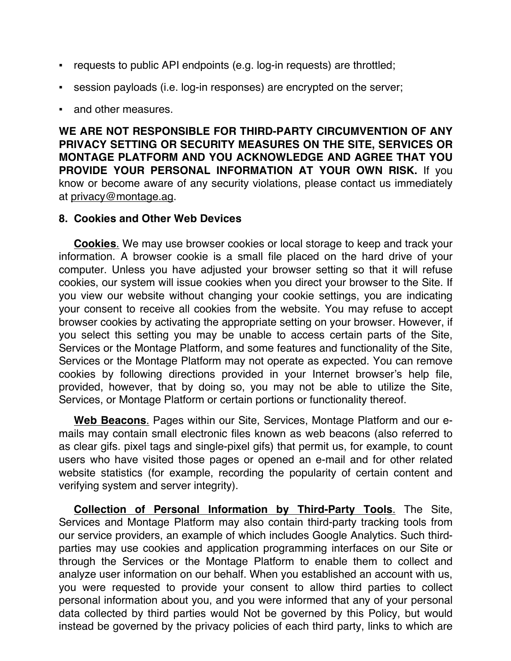- requests to public API endpoints (e.g. log-in requests) are throttled;
- session payloads (i.e. log-in responses) are encrypted on the server;
- and other measures.

**WE ARE NOT RESPONSIBLE FOR THIRD-PARTY CIRCUMVENTION OF ANY PRIVACY SETTING OR SECURITY MEASURES ON THE SITE, SERVICES OR MONTAGE PLATFORM AND YOU ACKNOWLEDGE AND AGREE THAT YOU PROVIDE YOUR PERSONAL INFORMATION AT YOUR OWN RISK.** If you know or become aware of any security violations, please contact us immediately at privacy@montage.ag.

#### **8. Cookies and Other Web Devices**

**Cookies**. We may use browser cookies or local storage to keep and track your information. A browser cookie is a small file placed on the hard drive of your computer. Unless you have adjusted your browser setting so that it will refuse cookies, our system will issue cookies when you direct your browser to the Site. If you view our website without changing your cookie settings, you are indicating your consent to receive all cookies from the website. You may refuse to accept browser cookies by activating the appropriate setting on your browser. However, if you select this setting you may be unable to access certain parts of the Site, Services or the Montage Platform, and some features and functionality of the Site, Services or the Montage Platform may not operate as expected. You can remove cookies by following directions provided in your Internet browser's help file, provided, however, that by doing so, you may not be able to utilize the Site, Services, or Montage Platform or certain portions or functionality thereof.

**Web Beacons**. Pages within our Site, Services, Montage Platform and our emails may contain small electronic files known as web beacons (also referred to as clear gifs. pixel tags and single-pixel gifs) that permit us, for example, to count users who have visited those pages or opened an e-mail and for other related website statistics (for example, recording the popularity of certain content and verifying system and server integrity).

**Collection of Personal Information by Third-Party Tools**. The Site, Services and Montage Platform may also contain third-party tracking tools from our service providers, an example of which includes Google Analytics. Such thirdparties may use cookies and application programming interfaces on our Site or through the Services or the Montage Platform to enable them to collect and analyze user information on our behalf. When you established an account with us, you were requested to provide your consent to allow third parties to collect personal information about you, and you were informed that any of your personal data collected by third parties would Not be governed by this Policy, but would instead be governed by the privacy policies of each third party, links to which are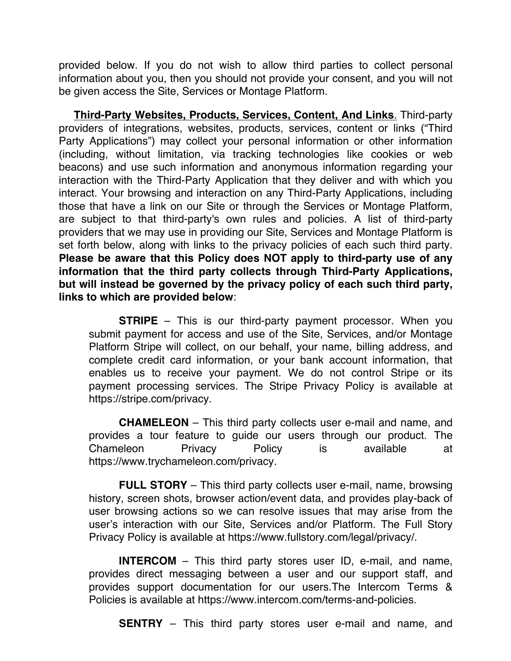provided below. If you do not wish to allow third parties to collect personal information about you, then you should not provide your consent, and you will not be given access the Site, Services or Montage Platform.

**Third-Party Websites, Products, Services, Content, And Links**. Third-party providers of integrations, websites, products, services, content or links ("Third Party Applications") may collect your personal information or other information (including, without limitation, via tracking technologies like cookies or web beacons) and use such information and anonymous information regarding your interaction with the Third-Party Application that they deliver and with which you interact. Your browsing and interaction on any Third-Party Applications, including those that have a link on our Site or through the Services or Montage Platform, are subject to that third-party's own rules and policies. A list of third-party providers that we may use in providing our Site, Services and Montage Platform is set forth below, along with links to the privacy policies of each such third party. **Please be aware that this Policy does NOT apply to third-party use of any information that the third party collects through Third-Party Applications, but will instead be governed by the privacy policy of each such third party, links to which are provided below**:

**STRIPE** – This is our third-party payment processor. When you submit payment for access and use of the Site, Services, and/or Montage Platform Stripe will collect, on our behalf, your name, billing address, and complete credit card information, or your bank account information, that enables us to receive your payment. We do not control Stripe or its payment processing services. The Stripe Privacy Policy is available at https://stripe.com/privacy.

**CHAMELEON** – This third party collects user e-mail and name, and provides a tour feature to guide our users through our product. The Chameleon Privacy Policy is available at https://www.trychameleon.com/privacy.

**FULL STORY** – This third party collects user e-mail, name, browsing history, screen shots, browser action/event data, and provides play-back of user browsing actions so we can resolve issues that may arise from the user's interaction with our Site, Services and/or Platform. The Full Story Privacy Policy is available at https://www.fullstory.com/legal/privacy/.

**INTERCOM** – This third party stores user ID, e-mail, and name, provides direct messaging between a user and our support staff, and provides support documentation for our users.The Intercom Terms & Policies is available at https://www.intercom.com/terms-and-policies.

**SENTRY** – This third party stores user e-mail and name, and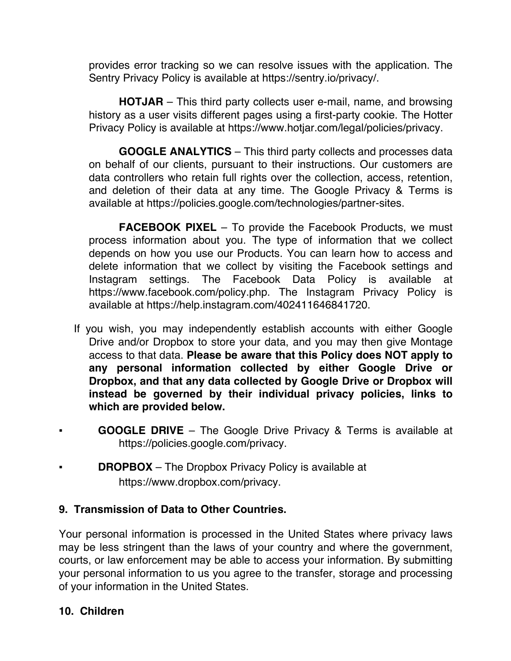provides error tracking so we can resolve issues with the application. The Sentry Privacy Policy is available at https://sentry.io/privacy/.

**HOTJAR** – This third party collects user e-mail, name, and browsing history as a user visits different pages using a first-party cookie. The Hotter Privacy Policy is available at https://www.hotjar.com/legal/policies/privacy.

**GOOGLE ANALYTICS** – This third party collects and processes data on behalf of our clients, pursuant to their instructions. Our customers are data controllers who retain full rights over the collection, access, retention, and deletion of their data at any time. The Google Privacy & Terms is available at https://policies.google.com/technologies/partner-sites.

**FACEBOOK PIXEL** – To provide the Facebook Products, we must process information about you. The type of information that we collect depends on how you use our Products. You can learn how to access and delete information that we collect by visiting the Facebook settings and Instagram settings. The Facebook Data Policy is available at https://www.facebook.com/policy.php. The Instagram Privacy Policy is available at https://help.instagram.com/402411646841720.

- If you wish, you may independently establish accounts with either Google Drive and/or Dropbox to store your data, and you may then give Montage access to that data. **Please be aware that this Policy does NOT apply to any personal information collected by either Google Drive or Dropbox, and that any data collected by Google Drive or Dropbox will instead be governed by their individual privacy policies, links to which are provided below.**
- **GOOGLE DRIVE** The Google Drive Privacy & Terms is available at https://policies.google.com/privacy.
- **DROPBOX** The Dropbox Privacy Policy is available at https://www.dropbox.com/privacy.

### **9. Transmission of Data to Other Countries.**

Your personal information is processed in the United States where privacy laws may be less stringent than the laws of your country and where the government, courts, or law enforcement may be able to access your information. By submitting your personal information to us you agree to the transfer, storage and processing of your information in the United States.

### **10. Children**